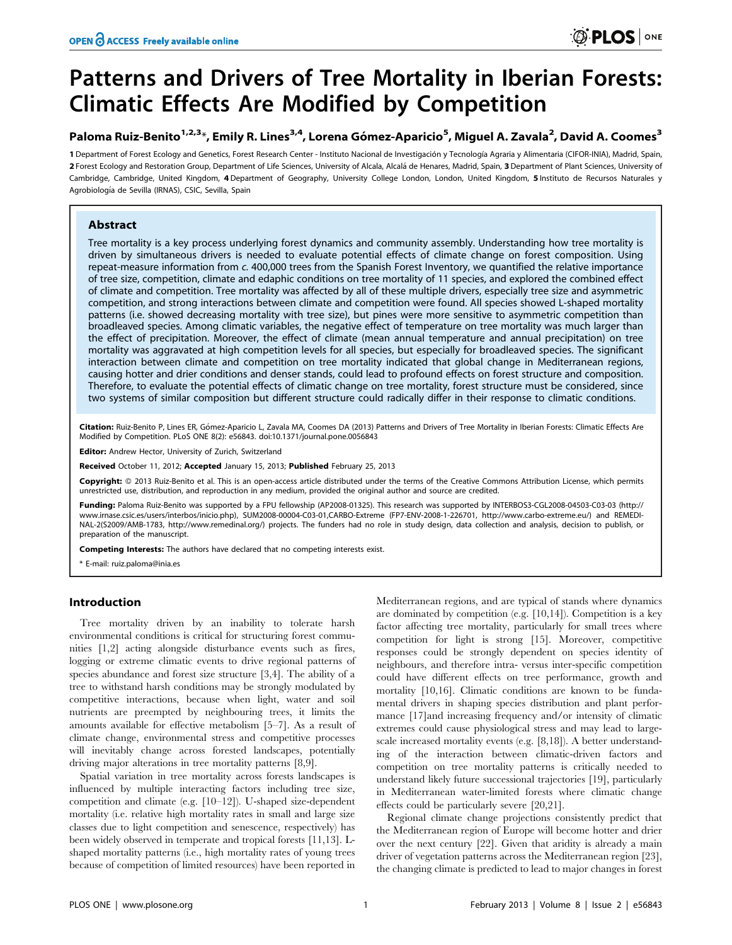# Patterns and Drivers of Tree Mortality in Iberian Forests: Climatic Effects Are Modified by Competition

## Paloma Ruiz-Benito<sup>1,2,3</sup>\*, Emily R. Lines<sup>3,4</sup>, Lorena Gómez-Aparicio<sup>5</sup>, Miguel A. Zavala<sup>2</sup>, David A. Coomes<sup>3</sup>

1 Department of Forest Ecology and Genetics, Forest Research Center - Instituto Nacional de Investigación y Tecnología Agraria y Alimentaria (CIFOR-INIA), Madrid, Spain, 2 Forest Ecology and Restoration Group, Department of Life Sciences, University of Alcala, Alcalá de Henares, Madrid, Spain, 3 Department of Plant Sciences, University of Cambridge, Cambridge, United Kingdom, 4 Department of Geography, University College London, London, United Kingdom, 5 Instituto de Recursos Naturales y Agrobiología de Sevilla (IRNAS), CSIC, Sevilla, Spain

## Abstract

Tree mortality is a key process underlying forest dynamics and community assembly. Understanding how tree mortality is driven by simultaneous drivers is needed to evaluate potential effects of climate change on forest composition. Using repeat-measure information from c. 400,000 trees from the Spanish Forest Inventory, we quantified the relative importance of tree size, competition, climate and edaphic conditions on tree mortality of 11 species, and explored the combined effect of climate and competition. Tree mortality was affected by all of these multiple drivers, especially tree size and asymmetric competition, and strong interactions between climate and competition were found. All species showed L-shaped mortality patterns (i.e. showed decreasing mortality with tree size), but pines were more sensitive to asymmetric competition than broadleaved species. Among climatic variables, the negative effect of temperature on tree mortality was much larger than the effect of precipitation. Moreover, the effect of climate (mean annual temperature and annual precipitation) on tree mortality was aggravated at high competition levels for all species, but especially for broadleaved species. The significant interaction between climate and competition on tree mortality indicated that global change in Mediterranean regions, causing hotter and drier conditions and denser stands, could lead to profound effects on forest structure and composition. Therefore, to evaluate the potential effects of climatic change on tree mortality, forest structure must be considered, since two systems of similar composition but different structure could radically differ in their response to climatic conditions.

Citation: Ruiz-Benito P, Lines ER, Gómez-Aparicio L, Zavala MA, Coomes DA (2013) Patterns and Drivers of Tree Mortality in Iberian Forests: Climatic Effects Are Modified by Competition. PLoS ONE 8(2): e56843. doi:10.1371/journal.pone.0056843

Editor: Andrew Hector, University of Zurich, Switzerland

Received October 11, 2012; Accepted January 15, 2013; Published February 25, 2013

Copyright: © 2013 Ruiz-Benito et al. This is an open-access article distributed under the terms of the Creative Commons Attribution License, which permits unrestricted use, distribution, and reproduction in any medium, provided the original author and source are credited.

Funding: Paloma Ruiz-Benito was supported by a FPU fellowship (AP2008-01325). This research was supported by INTERBOS3-CGL2008-04503-C03-03 (http:// www.irnase.csic.es/users/interbos/inicio.php), SUM2008-00004-C03-01,CARBO-Extreme (FP7-ENV-2008-1-226701, http://www.carbo-extreme.eu/) and REMEDI-NAL-2(S2009/AMB-1783, http://www.remedinal.org/) projects. The funders had no role in study design, data collection and analysis, decision to publish, or preparation of the manuscript.

Competing Interests: The authors have declared that no competing interests exist.

\* E-mail: ruiz.paloma@inia.es

#### Introduction

Tree mortality driven by an inability to tolerate harsh environmental conditions is critical for structuring forest communities [1,2] acting alongside disturbance events such as fires, logging or extreme climatic events to drive regional patterns of species abundance and forest size structure [3,4]. The ability of a tree to withstand harsh conditions may be strongly modulated by competitive interactions, because when light, water and soil nutrients are preempted by neighbouring trees, it limits the amounts available for effective metabolism [5–7]. As a result of climate change, environmental stress and competitive processes will inevitably change across forested landscapes, potentially driving major alterations in tree mortality patterns [8,9].

Spatial variation in tree mortality across forests landscapes is influenced by multiple interacting factors including tree size, competition and climate (e.g. [10–12]). U-shaped size-dependent mortality (i.e. relative high mortality rates in small and large size classes due to light competition and senescence, respectively) has been widely observed in temperate and tropical forests [11,13]. Lshaped mortality patterns (i.e., high mortality rates of young trees because of competition of limited resources) have been reported in

Mediterranean regions, and are typical of stands where dynamics are dominated by competition (e.g. [10,14]). Competition is a key factor affecting tree mortality, particularly for small trees where competition for light is strong [15]. Moreover, competitive responses could be strongly dependent on species identity of neighbours, and therefore intra- versus inter-specific competition could have different effects on tree performance, growth and mortality [10,16]. Climatic conditions are known to be fundamental drivers in shaping species distribution and plant performance [17]and increasing frequency and/or intensity of climatic extremes could cause physiological stress and may lead to largescale increased mortality events (e.g. [8,18]). A better understanding of the interaction between climatic-driven factors and competition on tree mortality patterns is critically needed to understand likely future successional trajectories [19], particularly in Mediterranean water-limited forests where climatic change effects could be particularly severe [20,21].

Regional climate change projections consistently predict that the Mediterranean region of Europe will become hotter and drier over the next century [22]. Given that aridity is already a main driver of vegetation patterns across the Mediterranean region [23], the changing climate is predicted to lead to major changes in forest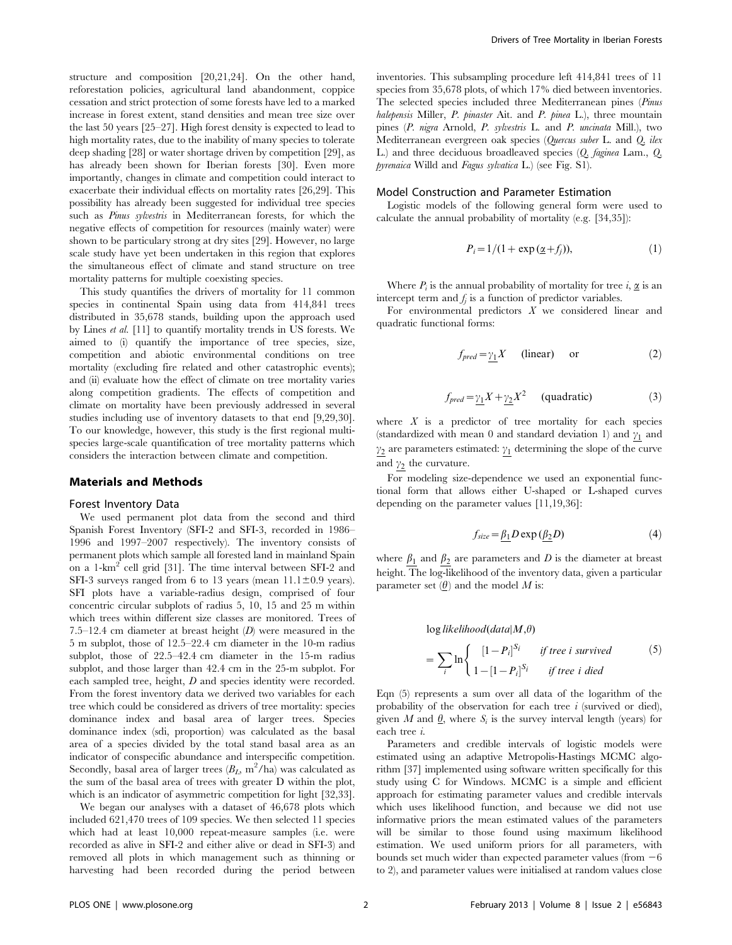structure and composition [20,21,24]. On the other hand, reforestation policies, agricultural land abandonment, coppice cessation and strict protection of some forests have led to a marked increase in forest extent, stand densities and mean tree size over the last 50 years [25–27]. High forest density is expected to lead to high mortality rates, due to the inability of many species to tolerate deep shading [28] or water shortage driven by competition [29], as has already been shown for Iberian forests [30]. Even more importantly, changes in climate and competition could interact to exacerbate their individual effects on mortality rates [26,29]. This possibility has already been suggested for individual tree species such as *Pinus sylvestris* in Mediterranean forests, for which the negative effects of competition for resources (mainly water) were shown to be particulary strong at dry sites [29]. However, no large scale study have yet been undertaken in this region that explores the simultaneous effect of climate and stand structure on tree mortality patterns for multiple coexisting species.

This study quantifies the drivers of mortality for 11 common species in continental Spain using data from 414,841 trees distributed in 35,678 stands, building upon the approach used by Lines et al. [11] to quantify mortality trends in US forests. We aimed to (i) quantify the importance of tree species, size, competition and abiotic environmental conditions on tree mortality (excluding fire related and other catastrophic events); and (ii) evaluate how the effect of climate on tree mortality varies along competition gradients. The effects of competition and climate on mortality have been previously addressed in several studies including use of inventory datasets to that end [9,29,30]. To our knowledge, however, this study is the first regional multispecies large-scale quantification of tree mortality patterns which considers the interaction between climate and competition.

#### Materials and Methods

#### Forest Inventory Data

We used permanent plot data from the second and third Spanish Forest Inventory (SFI-2 and SFI-3, recorded in 1986– 1996 and 1997–2007 respectively). The inventory consists of permanent plots which sample all forested land in mainland Spain on a 1-km<sup>2</sup> cell grid [31]. The time interval between SFI-2 and SFI-3 surveys ranged from 6 to 13 years (mean  $11.1 \pm 0.9$  years). SFI plots have a variable-radius design, comprised of four concentric circular subplots of radius 5, 10, 15 and 25 m within which trees within different size classes are monitored. Trees of 7.5–12.4 cm diameter at breast height  $(D)$  were measured in the 5 m subplot, those of 12.5–22.4 cm diameter in the 10-m radius subplot, those of 22.5–42.4 cm diameter in the 15-m radius subplot, and those larger than 42.4 cm in the 25-m subplot. For each sampled tree, height, D and species identity were recorded. From the forest inventory data we derived two variables for each tree which could be considered as drivers of tree mortality: species dominance index and basal area of larger trees. Species dominance index (sdi, proportion) was calculated as the basal area of a species divided by the total stand basal area as an indicator of conspecific abundance and interspecific competition. Secondly, basal area of larger trees  $(B_L, m^2/ha)$  was calculated as the sum of the basal area of trees with greater D within the plot, which is an indicator of asymmetric competition for light [32,33].

We began our analyses with a dataset of 46,678 plots which included 621,470 trees of 109 species. We then selected 11 species which had at least 10,000 repeat-measure samples (i.e. were recorded as alive in SFI-2 and either alive or dead in SFI-3) and removed all plots in which management such as thinning or harvesting had been recorded during the period between inventories. This subsampling procedure left 414,841 trees of 11 species from 35,678 plots, of which 17% died between inventories. The selected species included three Mediterranean pines (Pinus halepensis Miller, P. pinaster Ait. and P. pinea L.), three mountain pines (P. nigra Arnold, P. sylvestris L. and P. uncinata Mill.), two Mediterranean evergreen oak species (Quercus suber L. and Q. ilex L.) and three deciduous broadleaved species (Q. faginea Lam., Q. pyrenaica Willd and Fagus sylvatica L.) (see Fig. S1).

#### Model Construction and Parameter Estimation

Logistic models of the following general form were used to calculate the annual probability of mortality (e.g. [34,35]):

$$
P_i = 1/(1 + \exp\left(\underline{\alpha} + f_j\right)),\tag{1}
$$

Where  $P_i$  is the annual probability of mortality for tree i,  $\underline{\alpha}$  is an intercept term and  $f_i$  is a function of predictor variables.

For environmental predictors  $X$  we considered linear and quadratic functional forms:

$$
f_{pred} = \gamma_1 X \qquad \text{(linear)} \qquad \text{or} \tag{2}
$$

$$
f_{pred} = \gamma_1 X + \gamma_2 X^2 \qquad \text{(quadratic)} \tag{3}
$$

where  $X$  is a predictor of tree mortality for each species (standardized with mean 0 and standard deviation 1) and  $\gamma_1$  and  $\gamma_2$  are parameters estimated:  $\gamma_1$  determining the slope of the curve and  $\gamma_2$  the curvature.

For modeling size-dependence we used an exponential functional form that allows either U-shaped or L-shaped curves depending on the parameter values [11,19,36]:

$$
f_{size} = \beta_1 D \exp{(\beta_2 D)}
$$
 (4)

where  $\beta_1$  and  $\beta_2$  are parameters and D is the diameter at breast height. The log-likelihood of the inventory data, given a particular parameter set  $(\underline{\theta})$  and the model M is:

$$
\log likelihood(data|M, \theta)
$$
  
= 
$$
\sum_{i} \ln \begin{cases} [1 - P_i]^{S_i} & if tree i survived \\ 1 - [1 - P_i]^{S_i} & if tree i died \end{cases}
$$
 (5)

Eqn (5) represents a sum over all data of the logarithm of the probability of the observation for each tree  $i$  (survived or died), given M and  $\theta$ , where  $S_i$  is the survey interval length (years) for each tree i.

Parameters and credible intervals of logistic models were estimated using an adaptive Metropolis-Hastings MCMC algorithm [37] implemented using software written specifically for this study using C for Windows. MCMC is a simple and efficient approach for estimating parameter values and credible intervals which uses likelihood function, and because we did not use informative priors the mean estimated values of the parameters will be similar to those found using maximum likelihood estimation. We used uniform priors for all parameters, with bounds set much wider than expected parameter values (from  $-6$ to 2), and parameter values were initialised at random values close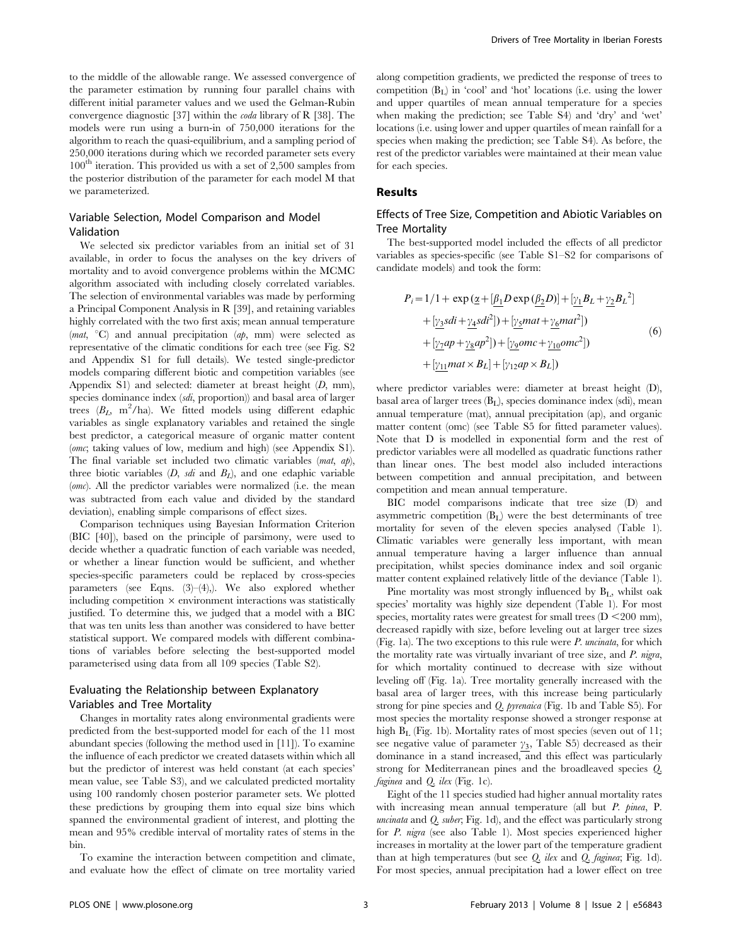to the middle of the allowable range. We assessed convergence of the parameter estimation by running four parallel chains with different initial parameter values and we used the Gelman-Rubin convergence diagnostic [37] within the coda library of R [38]. The models were run using a burn-in of 750,000 iterations for the algorithm to reach the quasi-equilibrium, and a sampling period of 250,000 iterations during which we recorded parameter sets every  $100<sup>th</sup>$  iteration. This provided us with a set of 2,500 samples from the posterior distribution of the parameter for each model M that we parameterized.

## Variable Selection, Model Comparison and Model Validation

We selected six predictor variables from an initial set of 31 available, in order to focus the analyses on the key drivers of mortality and to avoid convergence problems within the MCMC algorithm associated with including closely correlated variables. The selection of environmental variables was made by performing a Principal Component Analysis in R [39], and retaining variables highly correlated with the two first axis; mean annual temperature (*mat*,  $\degree$ C) and annual precipitation (*ap*, mm) were selected as representative of the climatic conditions for each tree (see Fig. S2 and Appendix S1 for full details). We tested single-predictor models comparing different biotic and competition variables (see Appendix S1) and selected: diameter at breast height (D, mm), species dominance index (sdi, proportion)) and basal area of larger trees  $(B_L, m^2/ha)$ . We fitted models using different edaphic variables as single explanatory variables and retained the single best predictor, a categorical measure of organic matter content (omc; taking values of low, medium and high) (see Appendix S1). The final variable set included two climatic variables (mat, ap), three biotic variables  $(D, sdi$  and  $B<sub>L</sub>$ ), and one edaphic variable  $(omc)$ . All the predictor variables were normalized (i.e. the mean was subtracted from each value and divided by the standard deviation), enabling simple comparisons of effect sizes.

Comparison techniques using Bayesian Information Criterion (BIC [40]), based on the principle of parsimony, were used to decide whether a quadratic function of each variable was needed, or whether a linear function would be sufficient, and whether species-specific parameters could be replaced by cross-species parameters (see Eqns. (3)–(4),). We also explored whether including competition  $\times$  environment interactions was statistically justified. To determine this, we judged that a model with a BIC that was ten units less than another was considered to have better statistical support. We compared models with different combinations of variables before selecting the best-supported model parameterised using data from all 109 species (Table S2).

## Evaluating the Relationship between Explanatory Variables and Tree Mortality

Changes in mortality rates along environmental gradients were predicted from the best-supported model for each of the 11 most abundant species (following the method used in [11]). To examine the influence of each predictor we created datasets within which all but the predictor of interest was held constant (at each species' mean value, see Table S3), and we calculated predicted mortality using 100 randomly chosen posterior parameter sets. We plotted these predictions by grouping them into equal size bins which spanned the environmental gradient of interest, and plotting the mean and 95% credible interval of mortality rates of stems in the bin.

To examine the interaction between competition and climate, and evaluate how the effect of climate on tree mortality varied along competition gradients, we predicted the response of trees to competition  $(B<sub>I</sub>)$  in 'cool' and 'hot' locations (i.e. using the lower and upper quartiles of mean annual temperature for a species when making the prediction; see Table S4) and 'dry' and 'wet' locations (i.e. using lower and upper quartiles of mean rainfall for a species when making the prediction; see Table S4). As before, the rest of the predictor variables were maintained at their mean value for each species.

## Results

## Effects of Tree Size, Competition and Abiotic Variables on Tree Mortality

The best-supported model included the effects of all predictor variables as species-specific (see Table S1–S2 for comparisons of candidate models) and took the form:

$$
P_i = 1/1 + \exp\left(\underline{\alpha} + [\underline{\beta_1}D\exp\left(\underline{\beta_2}D\right)] + [\underline{\gamma_1}B_L + \underline{\gamma_2}B_L^2] + [\underline{\gamma_3}Sdi + \underline{\gamma_4}Sdi^2] + [\underline{\gamma_5}mat + \underline{\gamma_6}mat^2]
$$
\n
$$
+ [\underline{\gamma_7}ap + \underline{\gamma_8}ap^2] + [\underline{\gamma_9}omc + \underline{\gamma_{10}}omc^2]
$$
\n
$$
+ [\underline{\gamma_{11}}mat \times B_L] + [\gamma_{12}ap \times B_L])
$$
\n(6)

where predictor variables were: diameter at breast height (D), basal area of larger trees  $(B<sub>L</sub>)$ , species dominance index (sdi), mean annual temperature (mat), annual precipitation (ap), and organic matter content (omc) (see Table S5 for fitted parameter values). Note that D is modelled in exponential form and the rest of predictor variables were all modelled as quadratic functions rather than linear ones. The best model also included interactions between competition and annual precipitation, and between competition and mean annual temperature.

BIC model comparisons indicate that tree size (D) and asymmetric competition  $(B_L)$  were the best determinants of tree mortality for seven of the eleven species analysed (Table 1). Climatic variables were generally less important, with mean annual temperature having a larger influence than annual precipitation, whilst species dominance index and soil organic matter content explained relatively little of the deviance (Table 1).

Pine mortality was most strongly influenced by  $B_L$ , whilst oak species' mortality was highly size dependent (Table 1). For most species, mortality rates were greatest for small trees  $(D < 200$  mm), decreased rapidly with size, before leveling out at larger tree sizes (Fig. 1a). The two exceptions to this rule were  $P$ . uncinata, for which the mortality rate was virtually invariant of tree size, and P. nigra, for which mortality continued to decrease with size without leveling off (Fig. 1a). Tree mortality generally increased with the basal area of larger trees, with this increase being particularly strong for pine species and Q. pyrenaica (Fig. 1b and Table S5). For most species the mortality response showed a stronger response at high B<sub>L</sub> (Fig. 1b). Mortality rates of most species (seven out of 11; see negative value of parameter  $\gamma_3$ , Table S5) decreased as their dominance in a stand increased, and this effect was particularly strong for Mediterranean pines and the broadleaved species Q. faginea and Q. ilex (Fig. 1c).

Eight of the 11 species studied had higher annual mortality rates with increasing mean annual temperature (all but P. pinea, P. uncinata and Q. suber; Fig. 1d), and the effect was particularly strong for P. nigra (see also Table 1). Most species experienced higher increases in mortality at the lower part of the temperature gradient than at high temperatures (but see  $Q$ . *ilex* and  $Q$ . *faginea*; Fig. 1d). For most species, annual precipitation had a lower effect on tree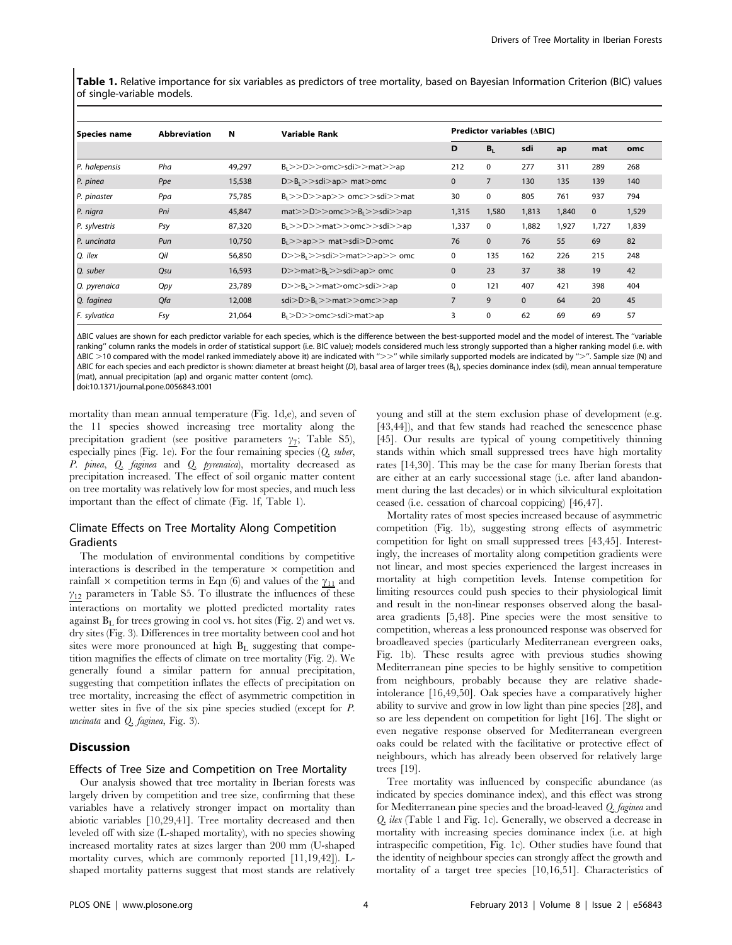Table 1. Relative importance for six variables as predictors of tree mortality, based on Bayesian Information Criterion (BIC) values of single-variable models.

| Species name    | <b>Abbreviation</b> | N      | <b>Variable Rank</b>                     | <b>Predictor variables (<math>\triangle BIC</math>)</b> |              |              |       |              |       |
|-----------------|---------------------|--------|------------------------------------------|---------------------------------------------------------|--------------|--------------|-------|--------------|-------|
|                 |                     |        |                                          | D                                                       | $B_L$        | sdi          | ap    | mat          | omc   |
| $P.$ halepensis | Pha                 | 49,297 | B <sub>1</sub> >D>>omc>sdi>>mat>>ap      | 212                                                     | 0            | 277          | 311   | 289          | 268   |
| P. pinea        | Ppe                 | 15,538 | $D > B_1 > >$ sdi $>$ ap $>$ mat $>$ omc | $\mathbf{0}$                                            | 7            | 130          | 135   | 139          | 140   |
| P. pinaster     | Ppa                 | 75,785 | $B_1>>D>>ap>>omc>>sdi>>mat$              | 30                                                      | 0            | 805          | 761   | 937          | 794   |
| P. nigra        | Pni                 | 45,847 | mat>>D>>omc>>B <sub>1</sub> >sdi>>ap     | 1,315                                                   | 1,580        | 1,813        | 1,840 | $\mathbf{0}$ | 1,529 |
| P. sylvestris   | Psy                 | 87,320 | B <sub>1</sub> >D>max>>omc>>sdi>>ap      | 1,337                                                   | 0            | 1,882        | 1,927 | 1,727        | 1,839 |
| P. uncinata     | Pun                 | 10,750 | B <sub>1</sub> >ap>> mat > sdi > D>omc   | 76                                                      | $\mathbf{0}$ | 76           | 55    | 69           | 82    |
| Q. ilex         | Oil                 | 56,850 | $D>>B_1>>sdi>>mat>>ap>>$ omc             | 0                                                       | 135          | 162          | 226   | 215          | 248   |
| Q. suber        | Qsu                 | 16,593 | $D>>mat>B_{1}>>sdi>ap>omc$               | $\mathbf{0}$                                            | 23           | 37           | 38    | 19           | 42    |
| Q. pyrenaica    | <b>Qpy</b>          | 23,789 | $D>>B_1>>\text{mat}>omc>sdi>>ap$         | 0                                                       | 121          | 407          | 421   | 398          | 404   |
| Q. faginea      | Qfa                 | 12,008 | $sdi>D>8_l>>mat>>omc>>ap$                | $\overline{7}$                                          | 9            | $\mathbf{0}$ | 64    | 20           | 45    |
| F. sylvatica    | Fsy                 | 21,064 | B <sub>1</sub> >D>>omc > sd>mat >ap      | 3                                                       | 0            | 62           | 69    | 69           | 57    |

ABIC values are shown for each predictor variable for each species, which is the difference between the best-supported model and the model of interest. The "variable ranking" column ranks the models in order of statistical support (i.e. BIC value); models considered much less strongly supported than a higher ranking model (i.e. with  $\Delta$ BIC >10 compared with the model ranked immediately above it) are indicated with ">>" while similarly supported models are indicated by ">". Sample size (N) and ABIC for each species and each predictor is shown: diameter at breast height (D), basal area of larger trees (B<sub>L</sub>), species dominance index (sdi), mean annual temperature (mat), annual precipitation (ap) and organic matter content (omc).

doi:10.1371/journal.pone.0056843.t001

mortality than mean annual temperature (Fig. 1d,e), and seven of the 11 species showed increasing tree mortality along the precipitation gradient (see positive parameters  $\gamma_7$ ; Table S5), especially pines (Fig. 1e). For the four remaining species (Q. suber, P. pinea, Q. faginea and Q. pyrenaica), mortality decreased as precipitation increased. The effect of soil organic matter content on tree mortality was relatively low for most species, and much less important than the effect of climate (Fig. 1f, Table 1).

## Climate Effects on Tree Mortality Along Competition Gradients

The modulation of environmental conditions by competitive interactions is described in the temperature  $\times$  competition and rainfall  $\times$  competition terms in Eqn (6) and values of the  $\gamma_{11}$  and  $\gamma_{12}$  parameters in Table S5. To illustrate the influences of these interactions on mortality we plotted predicted mortality rates against  $B<sub>L</sub>$  for trees growing in cool vs. hot sites (Fig. 2) and wet vs. dry sites (Fig. 3). Differences in tree mortality between cool and hot sites were more pronounced at high  $B<sub>L</sub>$  suggesting that competition magnifies the effects of climate on tree mortality (Fig. 2). We generally found a similar pattern for annual precipitation, suggesting that competition inflates the effects of precipitation on tree mortality, increasing the effect of asymmetric competition in wetter sites in five of the six pine species studied (except for P. uncinata and Q. faginea, Fig. 3).

#### **Discussion**

#### Effects of Tree Size and Competition on Tree Mortality

Our analysis showed that tree mortality in Iberian forests was largely driven by competition and tree size, confirming that these variables have a relatively stronger impact on mortality than abiotic variables [10,29,41]. Tree mortality decreased and then leveled off with size (L-shaped mortality), with no species showing increased mortality rates at sizes larger than 200 mm (U-shaped mortality curves, which are commonly reported [11,19,42]). Lshaped mortality patterns suggest that most stands are relatively young and still at the stem exclusion phase of development (e.g. [43,44]), and that few stands had reached the senescence phase [45]. Our results are typical of young competitively thinning stands within which small suppressed trees have high mortality rates [14,30]. This may be the case for many Iberian forests that are either at an early successional stage (i.e. after land abandonment during the last decades) or in which silvicultural exploitation ceased (i.e. cessation of charcoal coppicing) [46,47].

Mortality rates of most species increased because of asymmetric competition (Fig. 1b), suggesting strong effects of asymmetric competition for light on small suppressed trees [43,45]. Interestingly, the increases of mortality along competition gradients were not linear, and most species experienced the largest increases in mortality at high competition levels. Intense competition for limiting resources could push species to their physiological limit and result in the non-linear responses observed along the basalarea gradients [5,48]. Pine species were the most sensitive to competition, whereas a less pronounced response was observed for broadleaved species (particularly Mediterranean evergreen oaks, Fig. 1b). These results agree with previous studies showing Mediterranean pine species to be highly sensitive to competition from neighbours, probably because they are relative shadeintolerance [16,49,50]. Oak species have a comparatively higher ability to survive and grow in low light than pine species [28], and so are less dependent on competition for light [16]. The slight or even negative response observed for Mediterranean evergreen oaks could be related with the facilitative or protective effect of neighbours, which has already been observed for relatively large trees [19].

Tree mortality was influenced by conspecific abundance (as indicated by species dominance index), and this effect was strong for Mediterranean pine species and the broad-leaved Q. faginea and Q. ilex (Table 1 and Fig. 1c). Generally, we observed a decrease in mortality with increasing species dominance index (i.e. at high intraspecific competition, Fig. 1c). Other studies have found that the identity of neighbour species can strongly affect the growth and mortality of a target tree species [10,16,51]. Characteristics of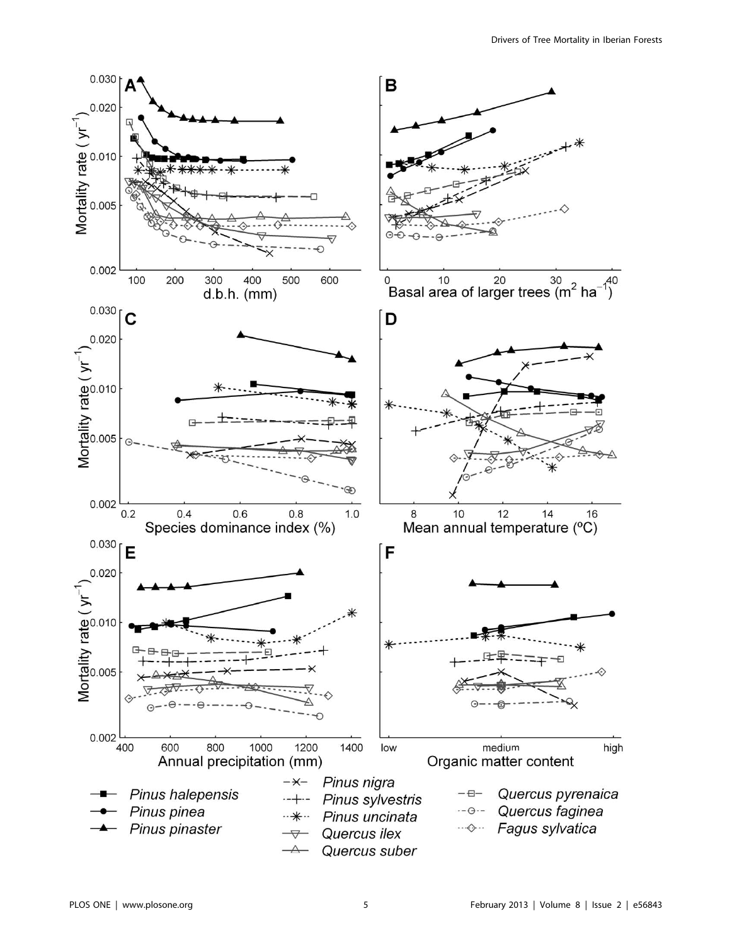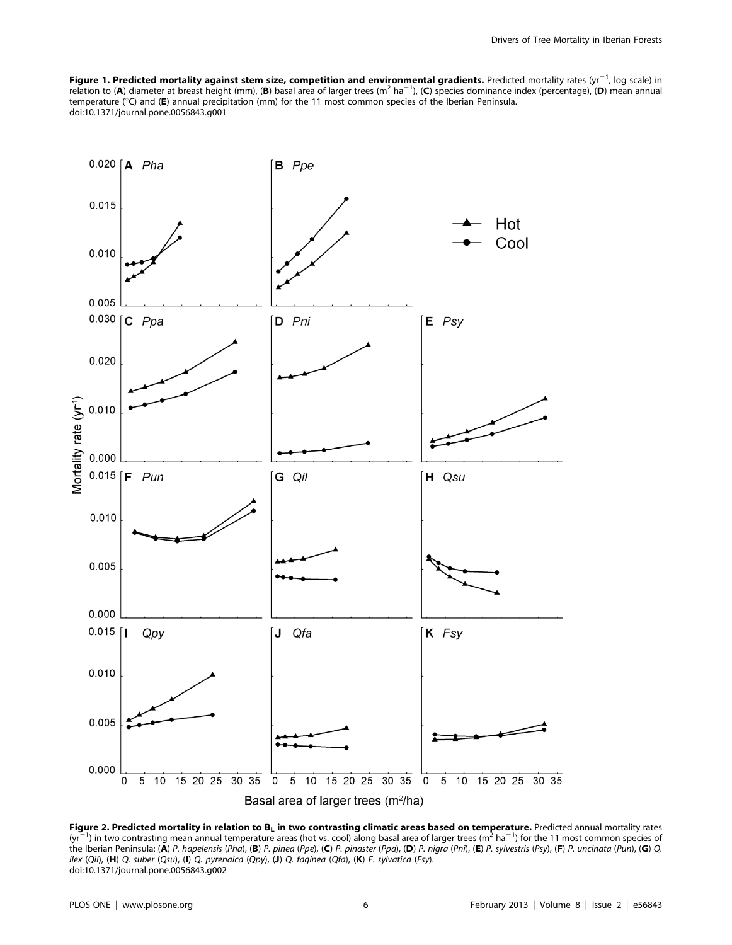**Figure 1. Predicted mortality against stem size, competition and environmental gradients.** Predicted mortality rates (yr<sup>-1</sup>, log scale) in<br>relation to (A) diameter at breast height (mm), (B) basal area of larger trees (m temperature (°C) and (E) annual precipitation (mm) for the 11 most common species of the Iberian Peninsula. doi:10.1371/journal.pone.0056843.g001



Figure 2. Predicted mortality in relation to  $B_L$  in two contrasting climatic areas based on temperature. Predicted annual mortality rates  $(yr^{-1})$  in two contrasting mean annual temperature areas (hot vs. cool) along basal area of larger trees (m<sup>2</sup> ha<sup>-1</sup>) for the 11 most common species of the Iberian Peninsula: (A) P. hapelensis (Pha), (B) P. pinea (Ppe), (C) P. pinaster (Ppa), (D) P. nigra (Pni), (E) P. sylvestris (Psy), (F) P. uncinata (Pun), (G) Q. ilex (Qil), (H) Q. suber (Qsu), (I) Q. pyrenaica (Qpy), (J) Q. faginea (Qfa), (K) F. sylvatica (Fsy). doi:10.1371/journal.pone.0056843.g002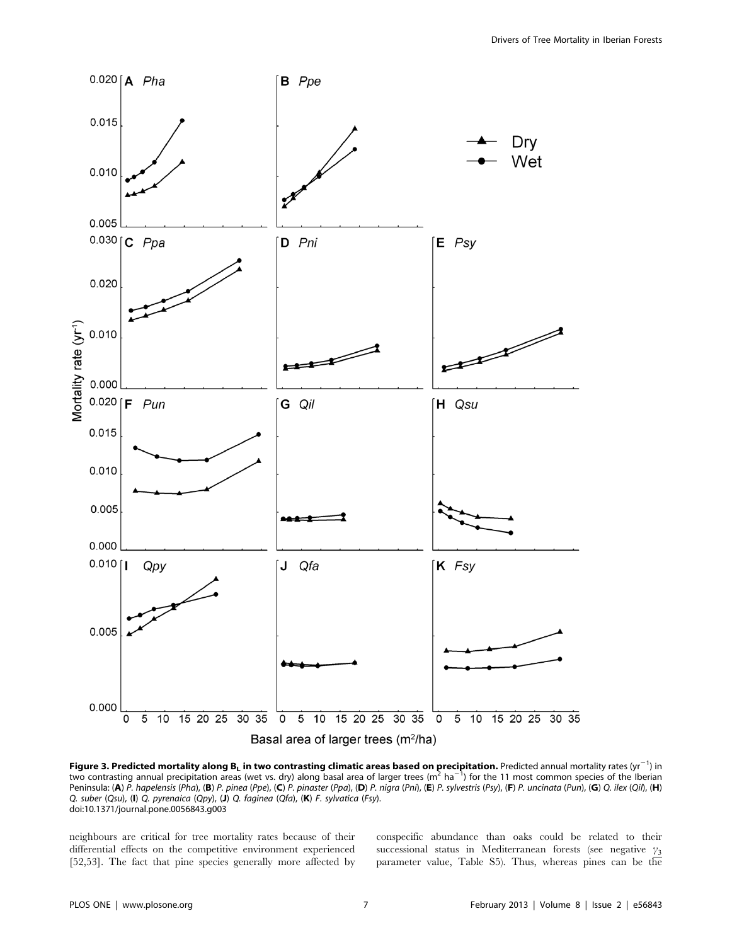

Figure 3. Predicted mortality along B<sub>L</sub> in two contrasting climatic areas based on precipitation. Predicted annual mortality rates (yr<sup>-1</sup>) in two contrasting annual precipitation areas (wet vs. dry) along basal area of larger trees (m<sup>2</sup> ha<sup>-1</sup>) for the 11 most common species of the Iberian Peninsula: (A) P. hapelensis (Pha), (B) P. pinea (Ppe), (C) P. pinaster (Ppa), (D) P. nigra (Pni), (E) P. sylvestris (Psy), (F) P. uncinata (Pun), (G) Q. ilex (Qil), (H) Q. suber (Qsu), (I) Q. pyrenaica (Qpy), (J) Q. faginea (Qfa), (K) F. sylvatica (Fsy). doi:10.1371/journal.pone.0056843.g003

neighbours are critical for tree mortality rates because of their differential effects on the competitive environment experienced [52,53]. The fact that pine species generally more affected by conspecific abundance than oaks could be related to their successional status in Mediterranean forests (see negative  $\gamma_3$ parameter value, Table S5). Thus, whereas pines can be the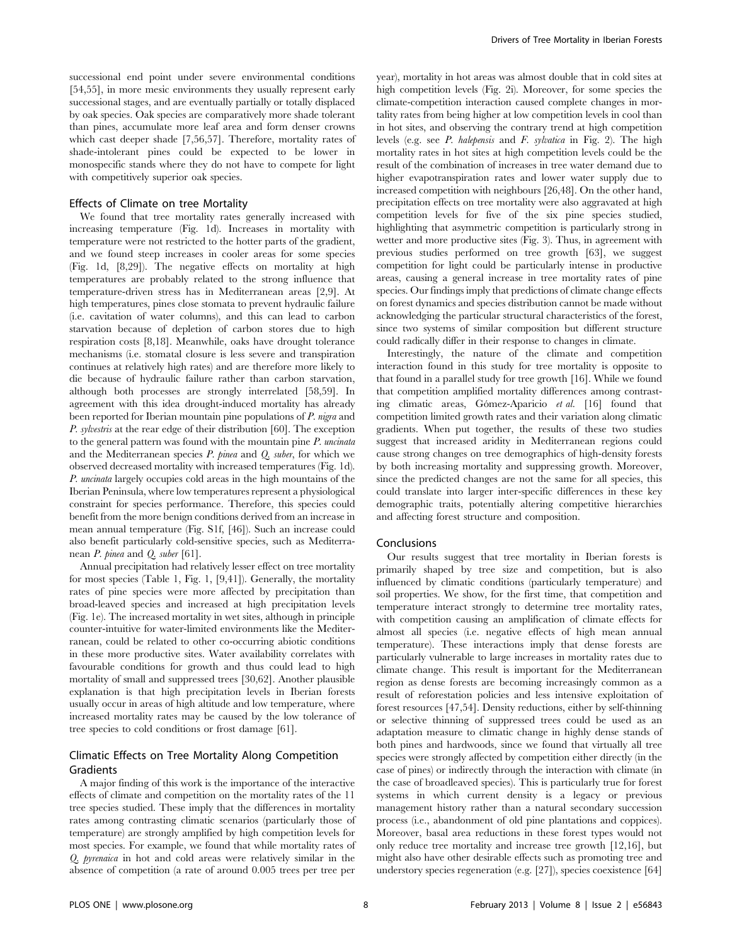successional end point under severe environmental conditions [54,55], in more mesic environments they usually represent early successional stages, and are eventually partially or totally displaced by oak species. Oak species are comparatively more shade tolerant than pines, accumulate more leaf area and form denser crowns which cast deeper shade [7,56,57]. Therefore, mortality rates of shade-intolerant pines could be expected to be lower in monospecific stands where they do not have to compete for light with competitively superior oak species.

#### Effects of Climate on tree Mortality

We found that tree mortality rates generally increased with increasing temperature (Fig. 1d). Increases in mortality with temperature were not restricted to the hotter parts of the gradient, and we found steep increases in cooler areas for some species (Fig. 1d, [8,29]). The negative effects on mortality at high temperatures are probably related to the strong influence that temperature-driven stress has in Mediterranean areas [2,9]. At high temperatures, pines close stomata to prevent hydraulic failure (i.e. cavitation of water columns), and this can lead to carbon starvation because of depletion of carbon stores due to high respiration costs [8,18]. Meanwhile, oaks have drought tolerance mechanisms (i.e. stomatal closure is less severe and transpiration continues at relatively high rates) and are therefore more likely to die because of hydraulic failure rather than carbon starvation, although both processes are strongly interrelated [58,59]. In agreement with this idea drought-induced mortality has already been reported for Iberian mountain pine populations of P. nigra and P. sylvestris at the rear edge of their distribution [60]. The exception to the general pattern was found with the mountain pine P. uncinata and the Mediterranean species  $P.$  pinea and  $Q.$  suber, for which we observed decreased mortality with increased temperatures (Fig. 1d). P. uncinata largely occupies cold areas in the high mountains of the Iberian Peninsula, where low temperatures represent a physiological constraint for species performance. Therefore, this species could benefit from the more benign conditions derived from an increase in mean annual temperature (Fig. S1f, [46]). Such an increase could also benefit particularly cold-sensitive species, such as Mediterranean P. pinea and Q. suber [61].

Annual precipitation had relatively lesser effect on tree mortality for most species (Table 1, Fig. 1, [9,41]). Generally, the mortality rates of pine species were more affected by precipitation than broad-leaved species and increased at high precipitation levels (Fig. 1e). The increased mortality in wet sites, although in principle counter-intuitive for water-limited environments like the Mediterranean, could be related to other co-occurring abiotic conditions in these more productive sites. Water availability correlates with favourable conditions for growth and thus could lead to high mortality of small and suppressed trees [30,62]. Another plausible explanation is that high precipitation levels in Iberian forests usually occur in areas of high altitude and low temperature, where increased mortality rates may be caused by the low tolerance of tree species to cold conditions or frost damage [61].

## Climatic Effects on Tree Mortality Along Competition Gradients

A major finding of this work is the importance of the interactive effects of climate and competition on the mortality rates of the 11 tree species studied. These imply that the differences in mortality rates among contrasting climatic scenarios (particularly those of temperature) are strongly amplified by high competition levels for most species. For example, we found that while mortality rates of Q. pyrenaica in hot and cold areas were relatively similar in the absence of competition (a rate of around 0.005 trees per tree per year), mortality in hot areas was almost double that in cold sites at high competition levels (Fig. 2i). Moreover, for some species the climate-competition interaction caused complete changes in mortality rates from being higher at low competition levels in cool than in hot sites, and observing the contrary trend at high competition levels (e.g. see P. halepensis and F. sylvatica in Fig. 2). The high mortality rates in hot sites at high competition levels could be the result of the combination of increases in tree water demand due to higher evapotranspiration rates and lower water supply due to increased competition with neighbours [26,48]. On the other hand, precipitation effects on tree mortality were also aggravated at high competition levels for five of the six pine species studied, highlighting that asymmetric competition is particularly strong in wetter and more productive sites (Fig. 3). Thus, in agreement with previous studies performed on tree growth [63], we suggest competition for light could be particularly intense in productive areas, causing a general increase in tree mortality rates of pine species. Our findings imply that predictions of climate change effects on forest dynamics and species distribution cannot be made without acknowledging the particular structural characteristics of the forest, since two systems of similar composition but different structure could radically differ in their response to changes in climate.

Interestingly, the nature of the climate and competition interaction found in this study for tree mortality is opposite to that found in a parallel study for tree growth [16]. While we found that competition amplified mortality differences among contrasting climatic areas, Gómez-Aparicio et al. [16] found that competition limited growth rates and their variation along climatic gradients. When put together, the results of these two studies suggest that increased aridity in Mediterranean regions could cause strong changes on tree demographics of high-density forests by both increasing mortality and suppressing growth. Moreover, since the predicted changes are not the same for all species, this could translate into larger inter-specific differences in these key demographic traits, potentially altering competitive hierarchies and affecting forest structure and composition.

#### **Conclusions**

Our results suggest that tree mortality in Iberian forests is primarily shaped by tree size and competition, but is also influenced by climatic conditions (particularly temperature) and soil properties. We show, for the first time, that competition and temperature interact strongly to determine tree mortality rates, with competition causing an amplification of climate effects for almost all species (i.e. negative effects of high mean annual temperature). These interactions imply that dense forests are particularly vulnerable to large increases in mortality rates due to climate change. This result is important for the Mediterranean region as dense forests are becoming increasingly common as a result of reforestation policies and less intensive exploitation of forest resources [47,54]. Density reductions, either by self-thinning or selective thinning of suppressed trees could be used as an adaptation measure to climatic change in highly dense stands of both pines and hardwoods, since we found that virtually all tree species were strongly affected by competition either directly (in the case of pines) or indirectly through the interaction with climate (in the case of broadleaved species). This is particularly true for forest systems in which current density is a legacy or previous management history rather than a natural secondary succession process (i.e., abandonment of old pine plantations and coppices). Moreover, basal area reductions in these forest types would not only reduce tree mortality and increase tree growth [12,16], but might also have other desirable effects such as promoting tree and understory species regeneration (e.g. [27]), species coexistence [64]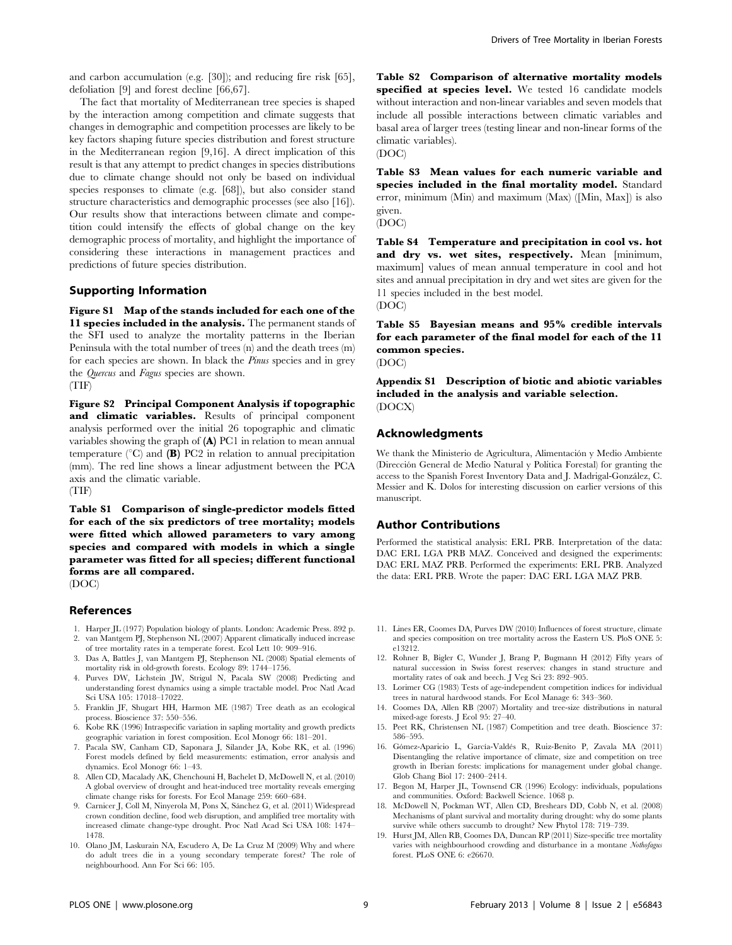and carbon accumulation (e.g. [30]); and reducing fire risk [65], defoliation [9] and forest decline [66,67].

The fact that mortality of Mediterranean tree species is shaped by the interaction among competition and climate suggests that changes in demographic and competition processes are likely to be key factors shaping future species distribution and forest structure in the Mediterranean region [9,16]. A direct implication of this result is that any attempt to predict changes in species distributions due to climate change should not only be based on individual species responses to climate (e.g. [68]), but also consider stand structure characteristics and demographic processes (see also [16]). Our results show that interactions between climate and competition could intensify the effects of global change on the key demographic process of mortality, and highlight the importance of considering these interactions in management practices and predictions of future species distribution.

#### Supporting Information

Figure S1 Map of the stands included for each one of the 11 species included in the analysis. The permanent stands of the SFI used to analyze the mortality patterns in the Iberian Peninsula with the total number of trees (n) and the death trees (m) for each species are shown. In black the Pinus species and in grey the Quercus and Fagus species are shown. (TIF)

Figure S2 Principal Component Analysis if topographic and climatic variables. Results of principal component analysis performed over the initial 26 topographic and climatic variables showing the graph of (A) PC1 in relation to mean annual temperature ( $\rm^{\circ}C$ ) and (B) PC2 in relation to annual precipitation (mm). The red line shows a linear adjustment between the PCA axis and the climatic variable.

(TIF)

Table S1 Comparison of single-predictor models fitted for each of the six predictors of tree mortality; models were fitted which allowed parameters to vary among species and compared with models in which a single parameter was fitted for all species; different functional forms are all compared.

(DOC)

#### References

- 1. Harper JL (1977) Population biology of plants. London: Academic Press. 892 p.
- 2. van Mantgem PJ, Stephenson NL (2007) Apparent climatically induced increase of tree mortality rates in a temperate forest. Ecol Lett 10: 909–916.
- 3. Das A, Battles J, van Mantgem PJ, Stephenson NL (2008) Spatial elements of mortality risk in old-growth forests. Ecology 89: 1744–1756.
- 4. Purves DW, Lichstein JW, Strigul N, Pacala SW (2008) Predicting and understanding forest dynamics using a simple tractable model. Proc Natl Acad Sci USA 105: 17018–17022.
- 5. Franklin JF, Shugart HH, Harmon ME (1987) Tree death as an ecological process. Bioscience 37: 550–556.
- 6. Kobe RK (1996) Intraspecific variation in sapling mortality and growth predicts geographic variation in forest composition. Ecol Monogr 66: 181–201.
- 7. Pacala SW, Canham CD, Saponara J, Silander JA, Kobe RK, et al. (1996) Forest models defined by field measurements: estimation, error analysis and dynamics. Ecol Monogr 66: 1–43.
- 8. Allen CD, Macalady AK, Chenchouni H, Bachelet D, McDowell N, et al. (2010) A global overview of drought and heat-induced tree mortality reveals emerging climate change risks for forests. For Ecol Manage 259: 660–684.
- 9. Carnicer J, Coll M, Ninyerola M, Pons X, Sánchez G, et al. (2011) Widespread crown condition decline, food web disruption, and amplified tree mortality with increased climate change-type drought. Proc Natl Acad Sci USA 108: 1474– 1478.
- 10. Olano JM, Laskurain NA, Escudero A, De La Cruz M (2009) Why and where do adult trees die in a young secondary temperate forest? The role of neighbourhood. Ann For Sci 66: 105.

Table S2 Comparison of alternative mortality models specified at species level. We tested 16 candidate models without interaction and non-linear variables and seven models that include all possible interactions between climatic variables and basal area of larger trees (testing linear and non-linear forms of the climatic variables).

(DOC)

Table S3 Mean values for each numeric variable and species included in the final mortality model. Standard error, minimum (Min) and maximum (Max) ([Min, Max]) is also given.

(DOC)

Table S4 Temperature and precipitation in cool vs. hot and dry vs. wet sites, respectively. Mean [minimum, maximum] values of mean annual temperature in cool and hot sites and annual precipitation in dry and wet sites are given for the 11 species included in the best model.

(DOC)

Table S5 Bayesian means and 95% credible intervals for each parameter of the final model for each of the 11 common species.

(DOC)

Appendix S1 Description of biotic and abiotic variables included in the analysis and variable selection. (DOCX)

#### Acknowledgments

We thank the Ministerio de Agricultura, Alimentación y Medio Ambiente (Dirección General de Medio Natural y Política Forestal) for granting the access to the Spanish Forest Inventory Data and J. Madrigal-González, C. Messier and K. Dolos for interesting discussion on earlier versions of this manuscript.

#### Author Contributions

Performed the statistical analysis: ERL PRB. Interpretation of the data: DAC ERL LGA PRB MAZ. Conceived and designed the experiments: DAC ERL MAZ PRB. Performed the experiments: ERL PRB. Analyzed the data: ERL PRB. Wrote the paper: DAC ERL LGA MAZ PRB.

- 11. Lines ER, Coomes DA, Purves DW (2010) Influences of forest structure, climate and species composition on tree mortality across the Eastern US. PloS ONE 5: e13212.
- 12. Rohner B, Bigler C, Wunder J, Brang P, Bugmann H (2012) Fifty years of natural succession in Swiss forest reserves: changes in stand structure and mortality rates of oak and beech. J Veg Sci 23: 892–905.
- 13. Lorimer CG (1983) Tests of age-independent competition indices for individual trees in natural hardwood stands. For Ecol Manage 6: 343–360.
- 14. Coomes DA, Allen RB (2007) Mortality and tree-size distributions in natural mixed-age forests. J Ecol 95: 27–40.
- 15. Peet RK, Christensen NL (1987) Competition and tree death. Bioscience 37: 586–595.
- 16. Gómez-Aparicio L, García-Valdés R, Ruiz-Benito P, Zavala MA (2011) Disentangling the relative importance of climate, size and competition on tree growth in Iberian forests: implications for management under global change. Glob Chang Biol 17: 2400–2414.
- 17. Begon M, Harper JL, Townsend CR (1996) Ecology: individuals, populations and communities. Oxford: Backwell Science. 1068 p.
- 18. McDowell N, Pockman WT, Allen CD, Breshears DD, Cobb N, et al. (2008) Mechanisms of plant survival and mortality during drought: why do some plants survive while others succumb to drought? New Phytol 178: 719–739.
- 19. Hurst JM, Allen RB, Coomes DA, Duncan RP (2011) Size-specific tree mortality varies with neighbourhood crowding and disturbance in a montane Nothofagus forest. PLoS ONE 6: e26670.